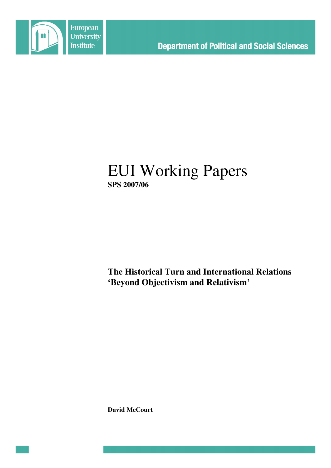

# EUI Working Papers **SPS 2007/06**

**The Historical Turn and International Relations 'Beyond Objectivism and Relativism'**

**David McCourt**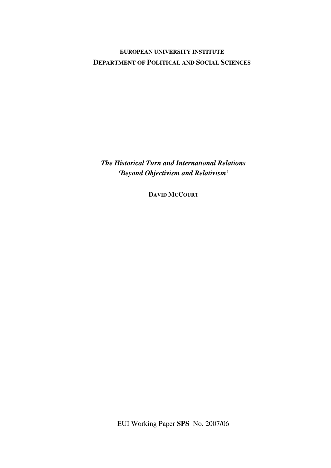# **EUROPEAN UNIVERSITY INSTITUTE DEPARTMENT OF POLITICAL AND SOCIAL SCIENCES**

*The Historical Turn and International Relations 'Beyond Objectivism and Relativism'*

**DAVID MCCOURT**

EUI Working Paper **SPS** No. 2007/06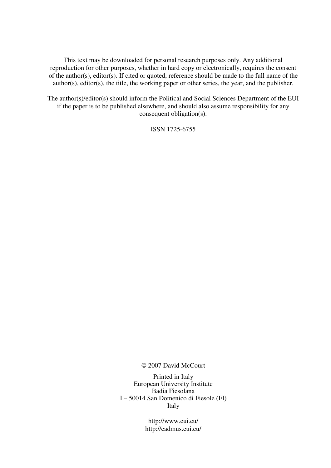This text may be downloaded for personal research purposes only. Any additional reproduction for other purposes, whether in hard copy or electronically, requires the consent of the author(s), editor(s). If cited or quoted, reference should be made to the full name of the author(s), editor(s), the title, the working paper or other series, the year, and the publisher.

The author(s)/editor(s) should inform the Political and Social Sciences Department of the EUI if the paper is to be published elsewhere, and should also assume responsibility for any consequent obligation(s).

ISSN 1725-6755

© 2007 David McCourt

Printed in Italy European University Institute Badia Fiesolana I – 50014 San Domenico di Fiesole (FI) Italy

> http://www.eui.eu/ http://cadmus.eui.eu/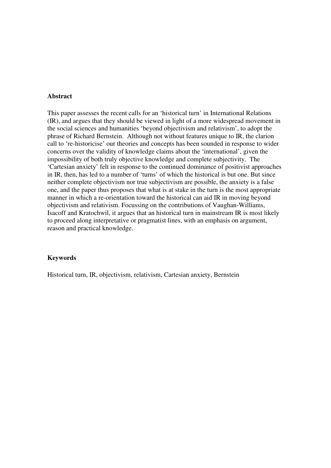#### **Abstract**

This paper assesses the recent calls for an 'historical turn' in International Relations (IR), and argues that they should be viewed in light of a more widespread movement in the social sciences and humanities 'beyond objectivism and relativism', to adopt the phrase of Richard Bernstein. Although not without features unique to IR, the clarion call to 're-historicise' our theories and concepts has been sounded in response to wider concerns over the validity of knowledge claims about the 'international', given the impossibility of both truly objective knowledge and complete subjectivity. The 'Cartesian anxiety' felt in response to the continued dominance of positivist approaches in IR, then, has led to a number of 'turns' of which the historical is but one. But since neither complete objectivism nor true subjectivism are possible, the anxiety is a false one, and the paper thus proposes that what is at stake in the turn is the most appropriate manner in which a re-orientation toward the historical can aid IR in moving beyond objectivism and relativism. Focussing on the contributions of Vaughan-Williams, Isacoff and Kratochwil, it argues that an historical turn in mainstream IR is most likely to proceed along interpretative or pragmatist lines, with an emphasis on argument, reason and practical knowledge.

### **Keywords**

Historical turn, IR, objectivism, relativism, Cartesian anxiety, Bernstein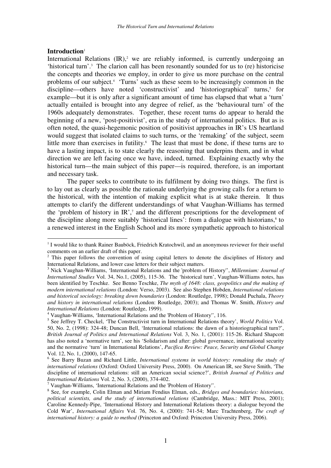## **Introduction** 1

International Relations (IR),<sup>2</sup> we are reliably informed, is currently undergoing an 'historical turn'. <sup>3</sup> The clarion call has been resonantly sounded for us to (re) historicise the concepts and theories we employ, in order to give us more purchase on the central problems of our subject. 4 'Turns' such as these seem to be increasingly common in the discipline—others have noted 'constructivist' and 'historiographical' turns, 5 for example—but it is only after a significant amount of time has elapsed that what a 'turn' actually entailed is brought into any degree of relief, as the 'behavioural turn' of the 1960s adequately demonstrates. Together, these recent turns do appear to herald the beginning of a new, 'post-positivist', era in the study of international politics. But as is often noted, the quasi-hegemonic position of positivist approaches in IR's US heartland would suggest that isolated claims to such turns, or the 'remaking' of the subject, seem little more than exercises in futility. <sup>6</sup> The least that must be done, if these turns are to have a lasting impact, is to state clearly the reasoning that underpins them, and in what direction we are left facing once we have, indeed, turned. Explaining exactly why the historical turn—the main subject of this paper—is required, therefore, is an important and necessary task.

The paper seeks to contribute to its fulfilment by doing two things. The first is to lay out as clearly as possible the rationale underlying the growing calls for a return to the historical, with the intention of making explicit what is at stake therein. It thus attempts to clarify the different understandings of what Vaughan-Williams has termed the 'problem of history in IR', <sup>7</sup> and the different prescriptions for the development of the discipline along more suitably 'historical lines': from a dialogue with historians, 8 to a renewed interest in the English School and its more sympathetic approach to historical

<sup>&</sup>lt;sup>1</sup> I would like to thank Rainer Bauböck, Friedrich Kratochwil, and an anonymous reviewer for their useful comments on an earlier draft of this paper.

<sup>&</sup>lt;sup>2</sup> This paper follows the convention of using capital letters to denote the disciplines of History and International Relations, and lower case letters for their subject matters.

<sup>3</sup> Nick Vaughan-Williams, 'International Relations and the 'problem of History'', *Millennium: Journal of International Studies* Vol. 34, No.1, (2005), 115-36. The 'historical turn', Vaughan-Williams notes, has been identified by Teschke. See Benno Teschke, *The myth of 1648: class, geopolitics and the making of modern international relations* (London: Verso, 2003). See also Stephen Hobden, *International relations and historical sociology: breaking down boundaries* (London: Routledge, 1998); Donald Puchala, *Theory and history in international relations* (London: Routledge, 2003); and Thomas W. Smith, *History and International Relations* (London: Routledge, 1999).

<sup>4</sup> Vaughan-Williams, 'International Relations and the 'Problem of History'', 116.

<sup>5</sup> See Jeffrey T. Checkel, 'The Constructivist turn in International Relations theory', *World Politics* Vol. 50, No. 2, (1998): 324-48; Duncan Bell, 'International relations: the dawn of a historiographical turn?', *British Journal of Politics and International Relations* Vol. 3, No. 1, (2001): 115-26. Richard Shapcott has also noted a 'normative turn', see his 'Solidarism and after: global governance, international security and the normative 'turn' in International Relations', *Pacifica Review: Peace, Security and Global Change* Vol. 12, No. 1, (2000), 147-65.

<sup>6</sup> See Barry Buzan and Richard Little, *International systems in world history: remaking the study of international relations* (Oxford: Oxford University Press, 2000). On American IR, see Steve Smith, 'The discipline of international relations: still an American social science?', *British Journal of Politics and International Relations* Vol. 2, No. 3, (2000), 374-402.

 $7$  Vaughan-Williams, 'International Relations and the 'Problem of History''.

<sup>8</sup> See, for example, Colin Elman and Miriam Fendius Elman, eds., *Bridges and boundaries: historians, political scientists, and the study of international relations* (Cambridge, Mass.: MIT Press, 2001); Caroline Kennedy-Pipe, 'International History and International Relations theory: a dialogue beyond the Cold War', *International Affairs* Vol. 76, No. 4, (2000): 741-54; Marc Trachtenberg, *The craft of international history: a guide to method* (Princeton and Oxford: Princeton University Press, 2006).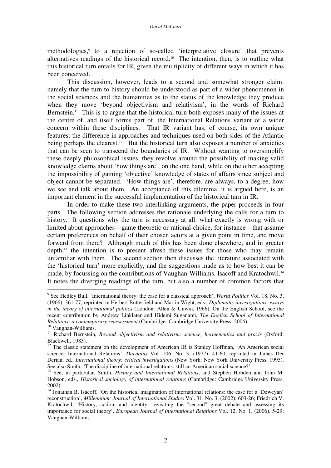methodologies, 9 to a rejection of so-called 'interpretative closure' that prevents alternatives readings of the historical record. <sup>10</sup> The intention, then, is to outline what this historical turn entails for IR, given the multiplicity of different ways in which it has been conceived.

This discussion, however, leads to a second and somewhat stronger claim: namely that the turn to history should be understood as part of a wider phenomenon in the social sciences and the humanities as to the status of the knowledge they produce when they move 'beyond objectivism and relativism', in the words of Richard Bernstein.<sup>11</sup> This is to argue that the historical turn both exposes many of the issues at the centre of, and itself forms part of, the International Relations variant of a wider concern within these disciplines. That IR variant has, of course, its own unique features: the difference in approaches and techniques used on both sides of the Atlantic being perhaps the clearest.<sup>12</sup> But the historical turn also exposes a number of anxieties that can be seen to transcend the boundaries of IR. Without wanting to oversimplify these deeply philosophical issues, they revolve around the possibility of making valid knowledge claims about 'how things are', on the one hand, while on the other accepting the impossibility of gaining 'objective' knowledge of states of affairs since subject and object cannot be separated. 'How things are', therefore, are always, to a degree, how we see and talk about them. An acceptance of this dilemma, it is argued here, is an important element in the successful implementation of the historical turn in IR.

In order to make these two interlinking arguments, the paper proceeds in four parts. The following section addresses the rationale underlying the calls for a turn to history. It questions why the turn is necessary at all: what exactly is wrong with or limited about approaches—game theoretic or rational-choice, for instance—that assume certain preferences on behalf of their chosen actors at a given point in time, and move forward from there? Although much of this has been done elsewhere, and in greater depth, 13 the intention is to present afresh these issues for those who may remain unfamiliar with them. The second section then discusses the literature associated with the 'historical turn' more explicitly, and the suggestions made as to how best it can be made, by focussing on the contributions of Vaughan-Williams, Isacoff and Kratochwil.<sup>14</sup> It notes the diverging readings of the turn, but also a number of common factors that

<sup>9</sup> See Hedley Bull, 'International theory: the case for a classical approach', *World Politics* Vol. 18, No. 3, (1966): 361-77, reprinted in Herbert Butterfield and Martin Wight, eds., *Diplomatic investigations: essays in the theory of international politics* (London: Allen & Unwin, 1966). On the English School, see the recent contribution by Andrew Linklater and Hidemi Suganami, *The English School of International Relations: a contemporary reassessment* (Cambridge: Cambridge University Press, 2006).

<sup>10</sup> Vaughan-Williams.

<sup>11</sup> Richard Bernstein, *Beyond objectivism and relativism: science, hermeneutics and praxis* (Oxford: Blackwell, 1983).

<sup>&</sup>lt;sup>12</sup> The classic statement on the development of American IR is Stanley Hoffman, 'An American social science: International Relations', *Daedalus* Vol. 106, No. 3, (1977), 41-60, reprinted in James Der Derian, ed., *International theory: critical investigations* (New York: New York University Press, 1995). See also Smith, 'The discipline of international relations: still an American social science?'.

<sup>13</sup> See, in particular, Smith, *History and International Relations*, and Stephen Hobden and John M. Hobson, eds., *Historical sociology of international relations* (Cambridge: Cambridge University Press, 2002).

<sup>&</sup>lt;sup>14</sup> Jonathan B. Isacoff, 'On the historical imagination of international relations: the case for a 'Deweyan' reconstruction', *Millennium: Journal of International Studies* Vol. 31, No. 3, (2002): 603-26; Friedrich V. Kratochwil, 'History, action, and identity: revisiting the "second" great debate and assessing its importance for social theory', *European Journal of International Relations* Vol. 12, No. 1, (2006), 5-29; Vaughan-Williams.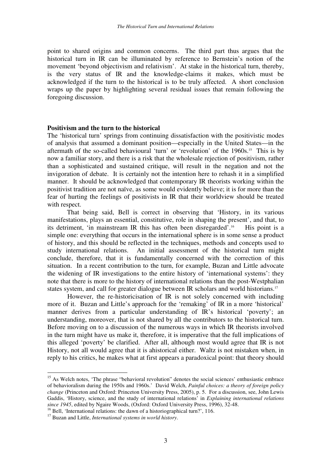point to shared origins and common concerns. The third part thus argues that the historical turn in IR can be illuminated by reference to Bernstein's notion of the movement 'beyond objectivism and relativism'. At stake in the historical turn, thereby, is the very status of IR and the knowledge-claims it makes, which must be acknowledged if the turn to the historical is to be truly affected. A short conclusion wraps up the paper by highlighting several residual issues that remain following the foregoing discussion.

#### **Positivism and the turn to the historical**

The 'historical turn' springs from continuing dissatisfaction with the positivistic modes of analysis that assumed a dominant position—especially in the United States—in the aftermath of the so-called behavioural 'turn' or 'revolution' of the 1960s. <sup>15</sup> This is by now a familiar story, and there is a risk that the wholesale rejection of positivism, rather than a sophisticated and sustained critique, will result in the negation and not the invigoration of debate. It is certainly not the intention here to rehash it in a simplified manner. It should be acknowledged that contemporary IR theorists working within the positivist tradition are not naïve, as some would evidently believe; it is for more than the fear of hurting the feelings of positivists in IR that their worldview should be treated with respect.

That being said, Bell is correct in observing that 'History, in its various manifestations, plays an essential, constitutive, role in shaping the present', and that, to its detriment, 'in mainstream IR this has often been disregarded'. His point is a simple one: everything that occurs in the international sphere is in some sense a product of history, and this should be reflected in the techniques, methods and concepts used to study international relations. An initial assessment of the historical turn might conclude, therefore, that it is fundamentally concerned with the correction of this situation. In a recent contribution to the turn, for example, Buzan and Little advocate the widening of IR investigations to the entire history of 'international systems': they note that there is more to the history of international relations than the post-Westphalian states system, and call for greater dialogue between IR scholars and world historians.<sup>17</sup>

However, the re-historicisation of IR is not solely concerned with including more of it. Buzan and Little's approach for the 'remaking' of IR in a more 'historical' manner derives from a particular understanding of IR's historical 'poverty'; an understanding, moreover, that is not shared by all the contributors to the historical turn. Before moving on to a discussion of the numerous ways in which IR theorists involved in the turn might have us make it, therefore, it is imperative that the full implications of this alleged 'poverty' be clarified. After all, although most would agree that IR is not History, not all would agree that it is ahistorical either. Waltz is not mistaken when, in reply to his critics, he makes what at first appears a paradoxical point: that theory should

<sup>&</sup>lt;sup>15</sup> As Welch notes, 'The phrase "behavioral revolution" denotes the social sciences' enthusiastic embrace of behavioralism during the 1950s and 1960s.' David Welch, *Painful choices: a theory of foreign policy change* (Princeton and Oxford: Princeton University Press, 2005), p. 5. For a discussion, see, John Lewis Gaddis, 'History, science, and the study of international relations' in *Explaining international relations since 1945*, edited by Ngaire Woods, (Oxford: Oxford University Press, 1996), 32-48.

 $^{16}$  Bell, 'International relations: the dawn of a historiographical turn?', 116.

<sup>17</sup> Buzan and Little, *International systems in world history*.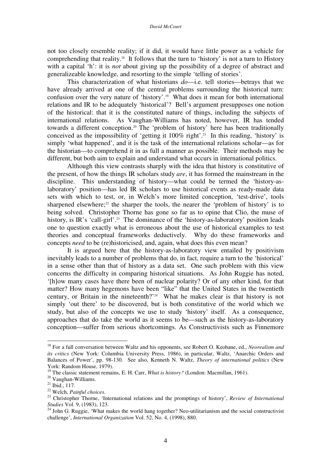#### *David McCourt*

not too closely resemble reality; if it did, it would have little power as a vehicle for comprehending that reality.<sup>18</sup> It follows that the turn to 'history' is not a turn to History with a capital 'h': it is *not* about giving up the possibility of a degree of abstract and generalizeable knowledge, and resorting to the simple 'telling of stories'.

This characterization of what historians *do*—i.e. tell stories—betrays that we have already arrived at one of the central problems surrounding the historical turn: confusion over the very nature of 'history'. <sup>19</sup> What does it mean for both international relations and IR to be adequately 'historical'? Bell's argument presupposes one notion of the historical: that it is the constituted nature of things, including the subjects of international relations. As Vaughan-Williams has noted, however, IR has tended towards a different conception. <sup>20</sup> The 'problem of history' here has been traditionally conceived as the impossibility of 'getting it 100% right'. 21 In this reading, 'history' is simply 'what happened', and it is the task of the international relations scholar—as for the historian—to comprehend it in as full a manner as possible. Their methods may be different, but both aim to explain and understand what occurs in international politics.

Although this view contrasts sharply with the idea that history is constitutive of the present, of how the things IR scholars study *are*, it has formed the mainstream in the discipline. This understanding of history—what could be termed the 'history-aslaboratory' position—has led IR scholars to use historical events as ready-made data sets with which to test, or, in Welch's more limited conception, 'test-drive', tools sharpened elsewhere;<sup>22</sup> the sharper the tools, the nearer the 'problem of history' is to being solved. Christopher Thorne has gone so far as to opine that Clio, the muse of history, is IR's 'call-girl'.<sup>23</sup> The dominance of the 'history-as-laboratory' position leads one to question exactly what is erroneous about the use of historical examples to test theories and conceptual frameworks deductively. Why do these frameworks and concepts *need* to be (re)historicised, and, again, what does this even mean?

It is argued here that the history-as-laboratory view entailed by positivism inevitably leads to a number of problems that do, in fact, require a turn to the 'historical' in a sense other than that of history as a data set. One such problem with this view concerns the difficulty in comparing historical situations. As John Ruggie has noted, '[h]ow many cases have there been of nuclear polarity? Or of any other kind, for that matter? How many hegemons have been "like" that the United States in the twentieth century, or Britain in the nineteenth?' <sup>24</sup> What he makes clear is that history is not simply 'out there' to be discovered, but is both constitutive of the world which we study, but also of the concepts we use to study 'history' itself. As a consequence, approaches that do take the world as it seems to be—such as the history-as-laboratory conception—suffer from serious shortcomings. As Constructivists such as Finnemore

<sup>18</sup> For a full conversation between Waltz and his opponents, see Robert O. Keohane, ed., *Neorealism and its critics* (New York: Columbia University Press, 1986), in particular, Waltz, 'Anarchic Orders and Balances of Power', pp. 98-130. See also, Kenneth N. Waltz, *Theory of international politics* (New York: Random House, 1979).

<sup>&</sup>lt;sup>19</sup> The classic statement remains, E. H. Carr, *What is history?* (London: Macmillan, 1961).

<sup>20</sup> Vaughan-Williams.

 $21$  Ibid., 117.

<sup>22</sup> Welch, *Painful choices*.

<sup>23</sup> Christopher Thorne, 'International relations and the promptings of history', *Review of International Studies* Vol. 9, (1983), 123.

<sup>&</sup>lt;sup>24</sup> John G. Ruggie, 'What makes the world hang together? Neo-utilitarianism and the social constructivist challenge', *International Organization* Vol. 52, No. 4, (1998), 880.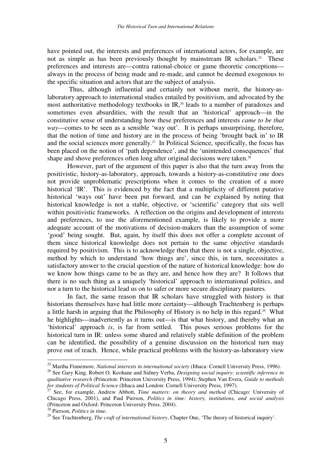have pointed out, the interests and preferences of international actors, for example, are not as simple as has been previously thought by mainstream IR scholars.<sup>25</sup> These preferences and interests are—contra rational-choice or game theoretic conceptions always in the process of being made and re-made, and cannot be deemed exogenous to the specific situation and actors that are the subject of analysis.

Thus, although influential and certainly not without merit, the history-aslaboratory approach to international studies entailed by positivism, and advocated by the most authoritative methodology textbooks in IR, 26 leads to a number of paradoxes and sometimes even absurdities, with the result that an 'historical' approach—in the constitutive sense of understanding how these preferences and interests *came to be that way*—comes to be seen as a sensible 'way out'. It is perhaps unsurprising, therefore, that the notion of time and history are in the process of being 'brought back in' to IR and the social sciences more generally.<sup>27</sup> In Political Science, specifically, the focus has been placed on the notion of 'path dependence', and the 'unintended consequences' that shape and shove preferences often long after original decisions were taken.<sup>28</sup>

However, part of the argument of this paper is also that the turn away from the positivistic, history-as-laboratory, approach, towards a history-as-constitutive one does not provide unproblematic prescriptions when it comes to the creation of a more historical 'IR'. This is evidenced by the fact that a multiplicity of different putative historical 'ways out' have been put forward, and can be explained by noting that historical knowledge is not a stable, objective, or 'scientific' category that sits well within positivistic frameworks. A reflection on the origins and development of interests and preferences, to use the aforementioned example, is likely to provide a more adequate account of the motivations of decision-makers than the assumption of some 'good' being sought. But, again, by itself this does not offer a complete account of them since historical knowledge does not pertain to the same objective standards required by positivism. This is to acknowledge then that there is not a single, objective, method by which to understand 'how things are', since this, in turn, necessitates a satisfactory answer to the crucial question of the nature of historical knowledge: how do we know how things came to be as they are, and hence how they are? It follows that there is no such thing as a uniquely 'historical' approach to international politics, and nor a turn to the historical lead us on to safer or more secure disciplinary pastures.

In fact, the same reason that IR scholars have struggled with history is that historians themselves have had little more certainty—although Trachtenberg is perhaps a little harsh in arguing that the Philosophy of History is no help in this regard.<sup>29</sup> What he highlights—inadvertently as it turns out—is that what history, and thereby what an 'historical' approach *is*, is far from settled. This poses serious problems for the historical turn in IR: unless some shared and relatively stable definition of the problem can be identified, the possibility of a genuine discussion on the historical turn may prove out of reach. Hence, while practical problems with the history-as-laboratory view

<sup>25</sup> Martha Finnemore, *National interests in international society* (Ithaca: Cornell University Press, 1996).

<sup>26</sup> See Gary King, Robert O. Keohane and Sidney Verba, *Designing social inquiry: scientific inference in qualitative research* (Princeton: Princeton University Press, 1994); Stephen Van Evera, *Guide to methods*

for students of Political Science (Ithaca and London: Cornell University Press, 1997).<br><sup>27</sup> See, for example, Andrew Abbott, *Time matters: on theory and method* (Chicago: University of Chicago Press, 2001), and Paul Pierson, *Politics in time: history, institutions, and social analysis* (Princeton and Oxford: Princeton University Press, 2004).

<sup>28</sup> Pierson, *Politics in time*.

<sup>29</sup> See Trachtenberg, *The craft of international history*, Chapter One, 'The theory of historical inquiry'.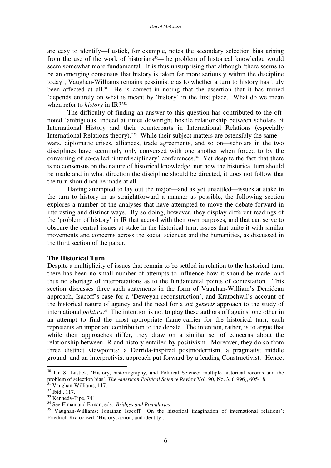are easy to identify—Lustick, for example, notes the secondary selection bias arising from the use of the work of historians<sup>30</sup>—the problem of historical knowledge would seem somewhat more fundamental. It is thus unsurprising that although 'there seems to be an emerging consensus that history is taken far more seriously within the discipline today', Vaughan-Williams remains pessimistic as to whether a turn to history has truly been affected at all.<sup>31</sup> He is correct in noting that the assertion that it has turned 'depends entirely on what is meant by 'history' in the first place…What do we mean when refer to *history* in IR?' 32

The difficulty of finding an answer to this question has contributed to the oftnoted 'ambiguous, indeed at times downright hostile relationship between scholars of International History and their counterparts in International Relations (especially International Relations theory).<sup>33</sup> While their subject matters are ostensibly the same wars, diplomatic crises, alliances, trade agreements, and so on—scholars in the two disciplines have seemingly only conversed with one another when forced to by the convening of so-called 'interdisciplinary' conferences. <sup>34</sup> Yet despite the fact that there is no consensus on the nature of historical knowledge, nor how the historical turn should be made and in what direction the discipline should be directed, it does not follow that the turn should not be made at all.

Having attempted to lay out the major—and as yet unsettled—issues at stake in the turn to history in as straightforward a manner as possible, the following section explores a number of the analyses that have attempted to move the debate forward in interesting and distinct ways. By so doing, however, they display different readings of the 'problem of history' in IR that accord with their own purposes, and that can serve to obscure the central issues at stake in the historical turn; issues that unite it with similar movements and concerns across the social sciences and the humanities, as discussed in the third section of the paper.

### **The Historical Turn**

Despite a multiplicity of issues that remain to be settled in relation to the historical turn, there has been no small number of attempts to influence how it should be made, and thus no shortage of interpretations as to the fundamental points of contestation. This section discusses three such statements in the form of Vaughan-William's Derridean approach, Isacoff's case for a 'Deweyan reconstruction', and Kratochwil's account of the historical nature of agency and the need for a *sui generis* approach to the study of international *politics*. <sup>35</sup> The intention is not to play these authors off against one other in an attempt to find the most appropriate flame-carrier for the historical turn; each represents an important contribution to the debate. The intention, rather, is to argue that while their approaches differ, they draw on a similar set of concerns about the relationship between IR and history entailed by positivism. Moreover, they do so from three distinct viewpoints: a Derrida-inspired postmodernism, a pragmatist middle ground, and an interpretivist approach put forward by a leading Constructivist. Hence,

<sup>&</sup>lt;sup>30</sup> Ian S. Lustick, 'History, historiography, and Political Science: multiple historical records and the problem of selection bias', *The American Political Science Review* Vol. 90, No. 3, (1996), 605-18.

Vaughan-Williams, 117.

<sup>32</sup> Ibid., 117.

<sup>&</sup>lt;sup>33</sup> Kennedy-Pipe, 741.

<sup>34</sup> See Elman and Elman, eds., *Bridges and Boundaries.*

<sup>&</sup>lt;sup>35</sup> Vaughan-Williams; Jonathan Isacoff, 'On the historical imagination of international relations'; Friedrich Kratochwil, 'History, action, and identity'.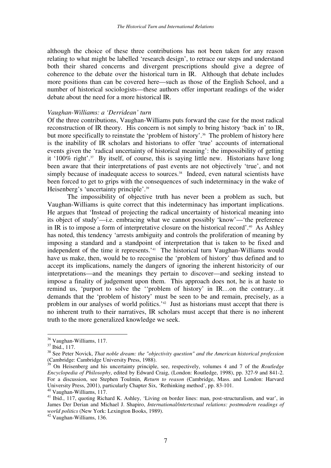although the choice of these three contributions has not been taken for any reason relating to what might be labelled 'research design', to retrace our steps and understand both their shared concerns and divergent prescriptions should give a degree of coherence to the debate over the historical turn in IR. Although that debate includes more positions than can be covered here—such as those of the English School, and a number of historical sociologists—these authors offer important readings of the wider debate about the need for a more historical IR.

#### *Vaughan-Williams: a 'Derridean' turn*

Of the three contributions, Vaughan-Williams puts forward the case for the most radical reconstruction of IR theory. His concern is not simply to bring history 'back in' to IR, but more specifically to reinstate the 'problem of history'. <sup>36</sup> The problem of history here is the inability of IR scholars and historians to offer 'true' accounts of international events given the 'radical uncertainty of historical meaning': the impossibility of getting it '100% right'. <sup>37</sup> By itself, of course, this is saying little new. Historians have long been aware that their interpretations of past events are not objectively 'true', and not simply because of inadequate access to sources. 38 Indeed, even natural scientists have been forced to get to grips with the consequences of such indeterminacy in the wake of Heisenberg's 'uncertainty principle'. 39

The impossibility of objective truth has never been a problem as such, but Vaughan-Williams is quite correct that this indeterminacy has important implications. He argues that 'Instead of projecting the radical uncertainty of historical meaning into its object of study'—i.e. embracing what we cannot possibly 'know'—'the preference in IR is to impose a form of interpretative closure on the historical record'. <sup>40</sup> As Ashley has noted, this tendency 'arrests ambiguity and controls the proliferation of meaning by imposing a standard and a standpoint of interpretation that is taken to be fixed and independent of the time it represents.' <sup>41</sup> The historical turn Vaughan-Williams would have us make, then, would be to recognise the 'problem of history' thus defined and to accept its implications, namely the dangers of ignoring the inherent historicity of our interpretations—and the meanings they pertain to discover—and seeking instead to impose a finality of judgement upon them. This approach does not, he is at haste to remind us, 'purport to solve the ''problem of history' in IR…on the contrary…it demands that the 'problem of history' must be seen to be and remain, precisely, as a problem in our analyses of world politics.' 42 Just as historians must accept that there is no inherent truth to their narratives, IR scholars must accept that there is no inherent truth to the more generalized knowledge we seek.

<sup>40</sup> Vaughan-Williams, 117.

<sup>36</sup> Vaughan-Williams, 117.

<sup>37</sup> Ibid., 117.

<sup>38</sup> See Peter Novick, *That noble dream: the "objectivity question" and the American historical profession* (Cambridge: Cambridge University Press, 1988).

<sup>&</sup>lt;sup>39</sup> On Heisenberg and his uncertainty principle, see, respectively, volumes 4 and 7 of the *Routledge Encyclopedia of Philosophy*, edited by Edward Craig, (London: Routledge, 1998), pp. 327-9 and 841-2. For a discussion, see Stephen Toulmin, *Return to reason* (Cambridge, Mass. and London: Harvard University Press, 2001), particularly Chapter Six, 'Rethinking method', pp. 83-101.

<sup>&</sup>lt;sup>41</sup> Ibid., 117, quoting Richard K. Ashley, 'Living on border lines: man, post-structuralism, and war', in James Der Derian and Michael J. Shapiro, *International/intertextual relations: postmodern readings of world politics* (New York: Lexington Books, 1989).

<sup>42</sup> Vaughan-Williams, 136.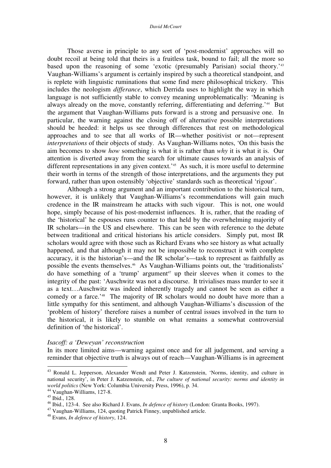Those averse in principle to any sort of 'post-modernist' approaches will no doubt recoil at being told that theirs is a fruitless task, bound to fail; all the more so based upon the reasoning of some 'exotic (presumably Parisian) social theory.' 43 Vaughan-Williams's argument is certainly inspired by such a theoretical standpoint, and is replete with linguistic ruminations that some find mere philosophical trickery. This includes the neologism *differance*, which Derrida uses to highlight the way in which language is not sufficiently stable to convey meaning unproblematically: 'Meaning is always already on the move, constantly referring, differentiating and deferring.'<sup>44</sup> But the argument that Vaughan-Williams puts forward is a strong and persuasive one. In particular, the warning against the closing off of alternative possible interpretations should be heeded: it helps us see through differences that rest on methodological approaches and to see that all works of IR—whether positivist or not—represent *interpretations* of their objects of study. As Vaughan-Williams notes, 'On this basis the aim becomes to show *how* something is what it is rather than *why* it is what it is. Our attention is diverted away from the search for ultimate causes towards an analysis of different representations in any given context.<sup>245</sup> As such, it is more useful to determine their worth in terms of the strength of those interpretations, and the arguments they put forward, rather than upon ostensibly 'objective' standards such as theoretical 'rigour'.

Although a strong argument and an important contribution to the historical turn, however, it is unlikely that Vaughan-Williams's recommendations will gain much credence in the IR mainstream he attacks with such vigour. This is not, one would hope, simply because of his post-modernist influences. It is, rather, that the reading of the 'historical' he espouses runs counter to that held by the overwhelming majority of IR scholars—in the US and elsewhere. This can be seen with reference to the debate between traditional and critical historians his article considers. Simply put, most IR scholars would agree with those such as Richard Evans who see history as what actually happened, and that although it may not be impossible to reconstruct it with complete accuracy, it is the historian's—and the IR scholar's—task to represent as faithfully as possible the events themselves. <sup>46</sup> As Vaughan-Williams points out, the 'traditionalists' do have something of a 'trump' argument <sup>47</sup> up their sleeves when it comes to the integrity of the past: 'Auschwitz was not a discourse. It trivialises mass murder to see it as a text…Auschwitz was indeed inherently tragedy and cannot be seen as either a comedy or a farce.' <sup>48</sup> The majority of IR scholars would no doubt have more than a little sympathy for this sentiment, and although Vaughan-Williams's discussion of the 'problem of history' therefore raises a number of central issues involved in the turn to the historical, it is likely to stumble on what remains a somewhat controversial definition of 'the historical'.

#### *Isacoff: a 'Deweyan' reconstruction*

In its more limited aims—warning against once and for all judgement, and serving a reminder that objective truth is always out of reach—Vaughan-Williams is in agreement

<sup>&</sup>lt;sup>43</sup> Ronald L. Jepperson, Alexander Wendt and Peter J. Katzenstein, 'Norms, identity, and culture in national security', in Peter J. Katzenstein, ed., *The culture of national security: norms and identity in world politics* (New York: Columbia University Press, 1996), p. 34.

<sup>44</sup> Vaughan-Williams, 127-8.

<sup>45</sup> Ibid., 128.

<sup>46</sup> Ibid., 123-4. See also Richard J. Evans, *In defence of history* (London: Granta Books, 1997).

<sup>47</sup> Vaughan-Williams, 124, quoting Patrick Finney, unpublished article.

<sup>48</sup> Evans, *In defence of history*, 124.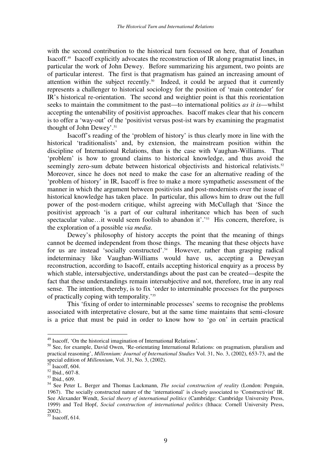with the second contribution to the historical turn focussed on here, that of Jonathan Isacoff. 49 Isacoff explicitly advocates the reconstruction of IR along pragmatist lines, in particular the work of John Dewey. Before summarizing his argument, two points are of particular interest. The first is that pragmatism has gained an increasing amount of attention within the subject recently. 50 Indeed, it could be argued that it currently represents a challenger to historical sociology for the position of 'main contender' for IR's historical re-orientation. The second and weightier point is that this reorientation seeks to maintain the commitment to the past—to international politics *as it is*—whilst accepting the untenability of positivist approaches. Isacoff makes clear that his concern is to offer a 'way-out' of the 'positivist versus post-ist wars by examining the pragmatist thought of John Dewey'. 51

Isacoff's reading of the 'problem of history' is thus clearly more in line with the historical 'traditionalists' and, by extension, the mainstream position within the discipline of International Relations, than is the case with Vaughan-Williams. That 'problem' is how to ground claims to historical knowledge, and thus avoid the seemingly zero-sum debate between historical objectivists and historical relativists.<sup>52</sup> Moreover, since he does not need to make the case for an alternative reading of the 'problem of history' in IR, Isacoff is free to make a more sympathetic assessment of the manner in which the argument between positivists and post-modernists over the issue of historical knowledge has taken place. In particular, this allows him to draw out the full power of the post-modern critique, whilst agreeing with McCullagh that 'Since the positivist approach 'is a part of our cultural inheritance which has been of such spectacular value...it would seem foolish to abandon it'.'<sup>53</sup> His concern, therefore, is the exploration of a possible *via media*.

Dewey's philosophy of history accepts the point that the meaning of things cannot be deemed independent from those things. The meaning that these objects have for us are instead 'socially constructed'.<sup>54</sup> However, rather than grasping radical indeterminacy like Vaughan-Williams would have us, accepting a Deweyan reconstruction, according to Isacoff, entails accepting historical enquiry as a process by which stable, intersubjective, understandings about the past can be created—despite the fact that these understandings remain intersubjective and not, therefore, true in any real sense. The intention, thereby, is to fix 'order to interminable processes for the purposes of practically coping with temporality.'<sup>55</sup>

This 'fixing of order to interminable processes' seems to recognise the problems associated with interpretative closure, but at the same time maintains that semi-closure is a price that must be paid in order to know how to 'go on' in certain practical

<sup>&</sup>lt;sup>49</sup> Isacoff, 'On the historical imagination of International Relations'.

<sup>&</sup>lt;sup>50</sup> See, for example, David Owen, 'Re-orientating International Relations: on pragmatism, pluralism and practical reasoning', *Millennium: Journal of International Studies* Vol. 31, No. 3, (2002), 653-73, and the special edition of *Millennium*, Vol. 31, No. 3, (2002).<br><sup>51</sup> Issaeff 604

Isacoff, 604.

<sup>52</sup> Ibid., 607-8.

<sup>53</sup> Ibid., 609.

<sup>54</sup> See Peter L. Berger and Thomas Luckmann, *The social construction of reality* (London: Penguin, 1967). The socially constructed nature of the 'international' is closely associated to 'Constructivist' IR. See Alexander Wendt, *Social theory of international politics* (Cambridge: Cambridge University Press, 1999) and Ted Hopf, *Social construction of international politics* (Ithaca: Cornell University Press, 2002).

<sup>55</sup> Isacoff, 614.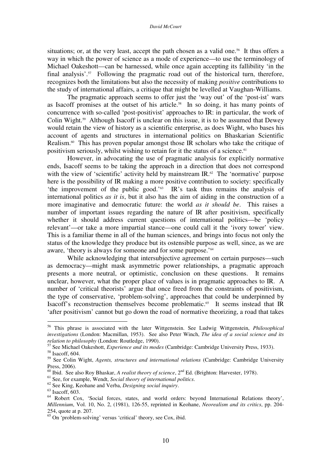#### *David McCourt*

situations; or, at the very least, accept the path chosen as a valid one.<sup>56</sup> It thus offers a way in which the power of science as a mode of experience—to use the terminology of Michael Oakeshott—can be harnessed, while once again accepting its fallibility 'in the final analysis'.<sup>57</sup> Following the pragmatic road out of the historical turn, therefore, recognizes both the limitations but also the necessity of making *positive* contributions to the study of international affairs, a critique that might be levelled at Vaughan-Williams.

The pragmatic approach seems to offer just the 'way out' of the 'post-ist' wars as Isacoff promises at the outset of his article. 58 In so doing, it has many points of concurrence with so-called 'post-positivist' approaches to IR: in particular, the work of Colin Wight. <sup>59</sup> Although Isacoff is unclear on this issue, it is to be assumed that Dewey would retain the view of history as a scientific enterprise, as does Wight, who bases his account of agents and structures in international politics on Bhaskarian Scientific Realism.<sup>60</sup> This has proven popular amongst those IR scholars who take the critique of positivism seriously, whilst wishing to retain for it the status of a science. 61

However, in advocating the use of pragmatic analysis for explicitly normative ends, Isacoff seems to be taking the approach in a direction that does not correspond with the view of 'scientific' activity held by mainstream IR.<sup>62</sup> The 'normative' purpose here is the possibility of IR making a more positive contribution to society: specifically 'the improvement of the public good.' 63 IR's task thus remains the analysis of international politics *as it is*, but it also has the aim of aiding in the construction of a more imaginative and democratic future: the world *as it should be*. This raises a number of important issues regarding the nature of IR after positivism, specifically whether it should address current questions of international politics—be 'policy relevant'—or take a more impartial stance—one could call it the 'ivory tower' view. This is a familiar theme in all of the human sciences, and brings into focus not only the status of the knowledge they produce but its ostensible purpose as well, since, as we are aware, 'theory is always for someone and for some purpose.'<sup>64</sup>

While acknowledging that intersubjective agreement on certain purposes—such as democracy—might mask asymmetric power relationships, a pragmatic approach presents a more neutral, or optimistic, conclusion on these questions. It remains unclear, however, what the proper place of values is in pragmatic approaches to IR. A number of 'critical theorists' argue that once freed from the constraints of positivism, the type of conservative, 'problem-solving', approaches that could be underpinned by Isacoff's reconstruction themselves become problematic. 65 It seems instead that IR 'after positivism' cannot but go down the road of normative theorizing, a road that takes

<sup>56</sup> This phrase is associated with the later Wittgenstein. See Ludwig Wittgenstein, *Philosophical investigations* (London: Macmillan, 1953). See also Peter Winch, *The idea of a social science and its relation to philosophy* (London: Routledge, 1990).<br><sup>57</sup> See Michael Oskesbott, Experience and its mode

See Michael Oakeshott, *Experience and its modes* (Cambridge: Cambridge University Press, 1933).

<sup>58</sup> Isacoff, 604.

<sup>59</sup> See Colin Wight, *Agents, structures and international relations* (Cambridge: Cambridge University Press, 2006).

<sup>&</sup>lt;sup>60</sup> Ibid. See also Roy Bhaskar, *A realist theory of science*, 2<sup>nd</sup> Ed. (Brighton: Harvester, 1978).

<sup>61</sup> See, for example, Wendt, *Social theory of international politics*.

<sup>62</sup> See King, Keohane and Verba, *Designing social inquiry*.

<sup>63</sup> Isacoff, 603.

<sup>&</sup>lt;sup>64</sup> Robert Cox, 'Social forces, states, and world orders: beyond International Relations theory', *Millennium*, Vol. 10, No. 2, (1981), 126-55, reprinted in Keohane, *Neorealism and its critics*, pp. 204- 254, quote at p. 207.

 $^{65}$  On 'problem-solving' versus 'critical' theory, see Cox, ibid.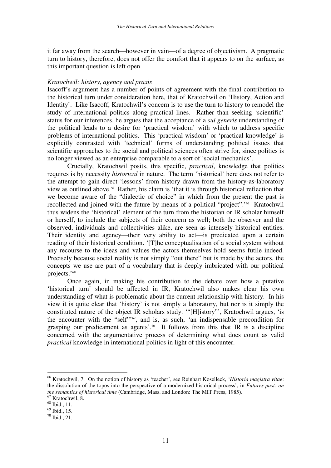it far away from the search—however in vain—of a degree of objectivism. A pragmatic turn to history, therefore, does not offer the comfort that it appears to on the surface, as this important question is left open.

#### *Kratochwil: history, agency and praxis*

Isacoff's argument has a number of points of agreement with the final contribution to the historical turn under consideration here, that of Kratochwil on 'History, Action and Identity'. Like Isacoff, Kratochwil's concern is to use the turn to history to remodel the study of international politics along practical lines. Rather than seeking 'scientific' status for our inferences, he argues that the acceptance of a *sui generis* understanding of the political leads to a desire for 'practical wisdom' with which to address specific problems of international politics. This 'practical wisdom' or 'practical knowledge' is explicitly contrasted with 'technical' forms of understanding political issues that scientific approaches to the social and political sciences often strive for, since politics is no longer viewed as an enterprise comparable to a sort of 'social mechanics'.

Crucially, Kratochwil posits, this specific, *practical*, knowledge that politics requires is by necessity *historical* in nature. The term 'historical' here does not refer to the attempt to gain direct 'lessons' from history drawn from the history-as-laboratory view as outlined above. <sup>66</sup> Rather, his claim is 'that it is through historical reflection that we become aware of the "dialectic of choice" in which from the present the past is recollected and joined with the future by means of a political "project".'<sup>67</sup> Kratochwil thus widens the 'historical' element of the turn from the historian or IR scholar himself or herself, to include the subjects of their concern as well; both the observer and the observed, individuals and collectivities alike, are seen as intensely historical entities. Their identity and agency—their very ability to act—is predicated upon a certain reading of their historical condition. '[T]he conceptualisation of a social system without any recourse to the ideas and values the actors themselves hold seems futile indeed. Precisely because social reality is not simply "out there" but is made by the actors, the concepts we use are part of a vocabulary that is deeply imbricated with our political projects.' 68

Once again, in making his contribution to the debate over how a putative 'historical turn' should be affected in IR, Kratochwil also makes clear his own understanding of what is problematic about the current relationship with history. In his view it is quite clear that 'history' is not simply a laboratory, but nor is it simply the constituted nature of the object IR scholars study. '"[H]istory"', Kratochwil argues, 'is the encounter with the "self"<sup>69</sup>, and is, as such, 'an indispensable precondition for grasping our predicament as agents'.<sup>70</sup> It follows from this that IR is a discipline concerned with the argumentative process of determining what does count as valid *practical* knowledge in international politics in light of this encounter.

<sup>66</sup> Kratochwil, 7. On the notion of history as 'teacher', see Reinhart Koselleck, '*Historia magistra vitae*: the dissolution of the topos into the perspective of a modernized historical process', in *Futures past: on the semantics of historical time* (Cambridge, Mass. and London: The MIT Press, 1985). <sup>67</sup> Kratochwil, 8.

<sup>68</sup> Ibid., 11.

<sup>69</sup> Ibid., 15.

<sup>70</sup> Ibid., 21.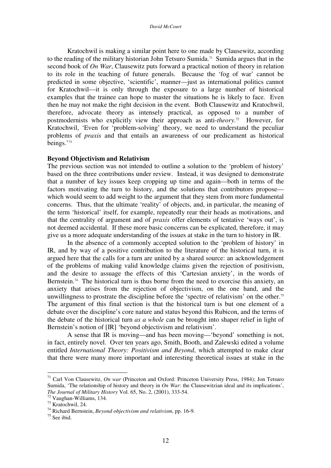Kratochwil is making a similar point here to one made by Clausewitz, according to the reading of the military historian John Tetsuro Sumida. <sup>71</sup> Sumida argues that in the second book of *On War*, Clausewitz puts forward a practical notion of theory in relation to its role in the teaching of future generals. Because the 'fog of war' cannot be predicted in some objective, 'scientific', manner—just as international politics cannot for Kratochwil—it is only through the exposure to a large number of historical examples that the trainee can hope to master the situations he is likely to face. Even then he may not make the right decision in the event. Both Clausewitz and Kratochwil, therefore, advocate theory as intensely practical, as opposed to a number of postmodernists who explicitly view their approach as anti-*theory*. <sup>72</sup> However, for Kratochwil, 'Even for 'problem-solving' theory, we need to understand the peculiar problems of *praxis* and that entails an awareness of our predicament as historical beings.' 73

#### **Beyond Objectivism and Relativism**

The previous section was not intended to outline a solution to the 'problem of history' based on the three contributions under review. Instead, it was designed to demonstrate that a number of key issues keep cropping up time and again—both in terms of the factors motivating the turn to history, and the solutions that contributors propose which would seem to add weight to the argument that they stem from more fundamental concerns. Thus, that the ultimate 'reality' of objects, and, in particular, the meaning of the term 'historical' itself, for example, repeatedly rear their heads as motivations, and that the centrality of argument and of *praxis* offer elements of tentative 'ways out', is not deemed accidental. If these more basic concerns can be explicated, therefore, it may give us a more adequate understanding of the issues at stake in the turn to history in IR.

In the absence of a commonly accepted solution to the 'problem of history' in IR, and by way of a positive contribution to the literature of the historical turn, it is argued here that the calls for a turn are united by a shared source: an acknowledgement of the problems of making valid knowledge claims given the rejection of positivism, and the desire to assuage the effects of this 'Cartesian anxiety', in the words of Bernstein.<sup>74</sup> The historical turn is thus borne from the need to exorcise this anxiety, an anxiety that arises from the rejection of objectivism, on the one hand, and the unwillingness to prostrate the discipline before the 'spectre of relativism' on the other. 75 The argument of this final section is that the historical turn is but one element of a debate over the discipline's core nature and status beyond this Rubicon, and the terms of the debate of the historical turn *as a whole* can be brought into shaper relief in light of Bernstein's notion of [IR] 'beyond objectivism and relativism'.

A sense that IR is moving—and has been moving—'beyond' something is not, in fact, entirely novel. Over ten years ago, Smith, Booth, and Zalewski edited a volume entitled *International Theory: Positivism and Beyond*, which attempted to make clear that there were many more important and interesting theoretical issues at stake in the

<sup>71</sup> Carl Von Clausewitz, *On war* (Princeton and Oxford: Princeton University Press, 1984); Jon Tetsuro Sumida, 'The relationship of history and theory in *On War*: the Clausewitzian ideal and its implications', *The Journal of Military History* Vol. 65, No. 2, (2001), 333-54.

 $72$  Vaughan-Williams, 134.

<sup>73</sup> Kratochwil, 24.

<sup>74</sup> Richard Bernstein, *Beyond objectivism and relativism*, pp. 16-9.

<sup>75</sup> See ibid.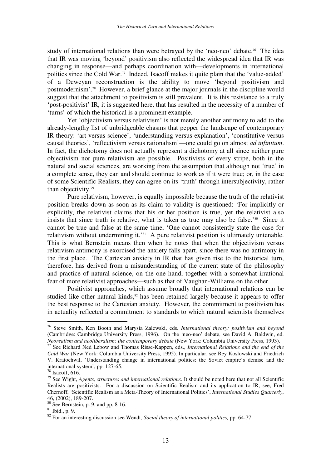study of international relations than were betrayed by the 'neo-neo' debate. <sup>76</sup> The idea that IR was moving 'beyond' positivism also reflected the widespread idea that IR was changing in response—and perhaps coordination with—developments in international politics since the Cold War. 77 Indeed, Isacoff makes it quite plain that the 'value-added' of a Deweyan reconstruction is the ability to move 'beyond positivism and postmodernism'. <sup>78</sup> However, a brief glance at the major journals in the discipline would suggest that the attachment to positivism is still prevalent. It is this resistance to a truly 'post-positivist' IR, it is suggested here, that has resulted in the necessity of a number of 'turns' of which the historical is a prominent example.

Yet 'objectivism versus relativism' is not merely another antimony to add to the already-lengthy list of unbridgeable chasms that pepper the landscape of contemporary IR theory: 'art versus science', 'understanding versus explanation', 'constitutive versus causal theories', 'reflectivism versus rationalism'—one could go on almost *ad infinitum*. In fact, the dichotomy does not actually represent a dichotomy at all since neither pure objectivism nor pure relativism are possible. Positivists of every stripe, both in the natural and social sciences, are working from the assumption that although not 'true' in a complete sense, they can and should continue to work as if it were true; or, in the case of some Scientific Realists, they can agree on its 'truth' through intersubjectivity, rather than objectivity. 79

Pure relativism, however, is equally impossible because the truth of the relativist position breaks down as soon as its claim to validity is questioned: 'For implicitly or explicitly, the relativist claims that his or her position is true, yet the relativist also insists that since truth is relative, what is taken as true may also be false.<sup>'80</sup> Since it cannot be true and false at the same time, 'One cannot consistently state the case for relativism without undermining it.'<sup>81</sup> A pure relativist position is ultimately untenable. This is what Bernstein means then when he notes that when the objectivism versus relativism antimony is exorcised the anxiety falls apart, since there was no antimony in the first place. The Cartesian anxiety in IR that has given rise to the historical turn, therefore, has derived from a misunderstanding of the current state of the philosophy and practice of natural science, on the one hand, together with a somewhat irrational fear of more relativist approaches—such as that of Vaughan-Williams on the other.

Positivist approaches, which assume broadly that international relations can be studied like other natural kinds,<sup>82</sup> has been retained largely because it appears to offer the best response to the Cartesian anxiety. However, the commitment to positivism has in actuality reflected a commitment to standards to which natural scientists themselves

<sup>76</sup> Steve Smith, Ken Booth and Marysia Zalewski, eds. *International theory: positivism and beyond* (Cambridge: Cambridge University Press, 1996). On the 'neo-neo' debate, see David A. Baldwin, ed. *Neorealism and neoliberalism: the contemporary <i>debate* (New York: Columbia University Press, 1993).<br><sup>77</sup> See Bishard Ned Labour and Thomas Bisse Kannon, eds. *International Belations and the and of th* 

See Richard Ned Lebow and Thomas Risse-Kappen, eds., *International Relations and the end of the Cold War* (New York: Columbia University Press, 1995). In particular, see Rey Koslowski and Friedrich V. Kratochwil, 'Understanding change in international politics: the Soviet empire's demise and the international system', pp. 127-65.

 $78$  Isacoff, 616.

<sup>79</sup> See Wight, *Agents, structures and international relations*. It should be noted here that not all Scientific Realists are positivists. For a discussion on Scientific Realism and its application to IR, see, Fred Chernoff, 'Scientific Realism as a Meta-Theory of International Politics', *International Studies Quarterly*, 46, (2002), 189-207.

 $80$  See Bernstein, p. 9, and pp. 8-16.

 $81$  Ibid., p. 9.

<sup>82</sup> For an interesting discussion see Wendt, *Social theory of international politics,* pp. 64-77.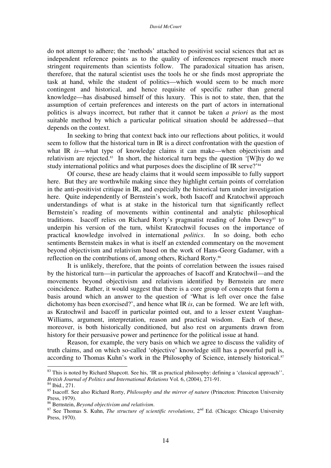do not attempt to adhere; the 'methods' attached to positivist social sciences that act as independent reference points as to the quality of inferences represent much more stringent requirements than scientists follow. The paradoxical situation has arisen, therefore, that the natural scientist uses the tools he or she finds most appropriate the task at hand, while the student of politics—which would seem to be much more contingent and historical, and hence requisite of specific rather than general knowledge—has disabused himself of this luxury. This is not to state, then, that the assumption of certain preferences and interests on the part of actors in international politics is always incorrect, but rather that it cannot be taken *a priori* as the most suitable method by which a particular political situation should be addressed—that depends on the context.

In seeking to bring that context back into our reflections about politics, it would seem to follow that the historical turn in IR is a direct confrontation with the question of what IR *is*—what type of knowledge claims it can make—when objectivism and relativism are rejected. 83 In short, the historical turn begs the question '[W]hy do we study international politics and what purposes does the discipline of IR serve?'<sup>84</sup>

Of course, these are heady claims that it would seem impossible to fully support here. But they are worthwhile making since they highlight certain points of correlation in the anti-positivist critique in IR, and especially the historical turn under investigation here. Quite independently of Bernstein's work, both Isacoff and Kratochwil approach understandings of what is at stake in the historical turn that significantly reflect Bernstein's reading of movements within continental and analytic philosophical traditions. Isacoff relies on Richard Rorty's pragmatist reading of John Dewey<sup>85</sup> to underpin his version of the turn, whilst Kratochwil focuses on the importance of practical knowledge involved in international *politics*. In so doing, both echo sentiments Bernstein makes in what is itself an extended commentary on the movement beyond objectivism and relativism based on the work of Hans-Georg Gadamer, with a reflection on the contributions of, among others, Richard Rorty.<sup>86</sup>

It is unlikely, therefore, that the points of correlation between the issues raised by the historical turn—in particular the approaches of Isacoff and Kratochwil—and the movements beyond objectivism and relativism identified by Bernstein are mere coincidence. Rather, it would suggest that there is a core group of concepts that form a basis around which an answer to the question of 'What is left over once the false dichotomy has been exorcised?', and hence what IR *is*, can be formed. We are left with, as Kratochwil and Isacoff in particular pointed out, and to a lesser extent Vaughan-Williams, argument, interpretation, reason and practical wisdom. Each of these, moreover, is both historically conditioned, but also rest on arguments drawn from history for their persuasive power and pertinence for the political issue at hand.

Reason, for example, the very basis on which we agree to discuss the validity of truth claims, and on which so-called 'objective' knowledge still has a powerful pull is, according to Thomas Kuhn's work in the Philosophy of Science, intensely historical.<sup>87</sup>

 $83$  This is noted by Richard Shapcott. See his, 'IR as practical philosophy: defining a 'classical approach'', *British Journal of Politics and International Relations* Vol. 6, (2004), 271-91.

<sup>84</sup> Ibid., 271.

<sup>85</sup> Isacoff. See also Richard Rorty, *Philosophy and the mirror of nature* (Princeton: Princeton University Press, 1979).

<sup>86</sup> Bernstein, *Beyond objectivism and relativism*.

<sup>87</sup> See Thomas S. Kuhn, *The structure of scientific revolutions*, 2 nd Ed. (Chicago: Chicago University Press, 1970).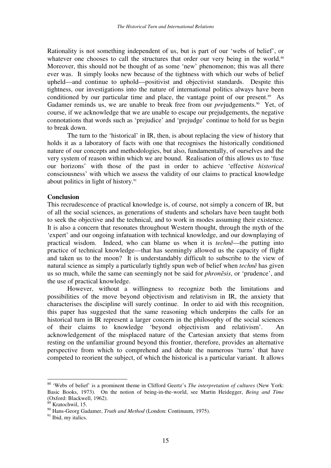Rationality is not something independent of us, but is part of our 'webs of belief', or whatever one chooses to call the structures that order our very being in the world.<sup>88</sup> Moreover, this should not be thought of as some 'new' phenomenon; this was all there ever was. It simply looks new because of the tightness with which our webs of belief upheld—and continue to uphold—positivist and objectivist standards. Despite this tightness, our investigations into the nature of international politics always have been conditioned by our particular time and place, the vantage point of our present.<sup>89</sup> As Gadamer reminds us, we are unable to break free from our *prejudgements*.<sup>90</sup> Yet, of course, if we acknowledge that we are unable to escape our prejudgements, the negative connotations that words such as 'prejudice' and 'prejudge' continue to hold for us begin to break down.

The turn to the 'historical' in IR, then, is about replacing the view of history that holds it as a laboratory of facts with one that recognises the historically conditioned nature of our concepts and methodologies, but also, fundamentally, of ourselves and the very system of reason within which we are bound. Realisation of this allows us to 'fuse our horizons' with those of the past in order to achieve 'effective *historical* consciousness' with which we assess the validity of our claims to practical knowledge about politics in light of history. 91

#### **Conclusion**

This recrudescence of practical knowledge is, of course, not simply a concern of IR, but of all the social sciences, as generations of students and scholars have been taught both to seek the objective and the technical, and to work in modes assuming their existence. It is also a concern that resonates throughout Western thought, through the myth of the 'expert' and our ongoing infatuation with technical knowledge, and our downplaying of practical wisdom. Indeed, who can blame us when it is *techne*—the putting into practice of technical knowledge—that has seemingly allowed us the capacity of flight and taken us to the moon? It is understandably difficult to subscribe to the view of natural science as simply a particularly tightly spun web of belief when *techne* has given us so much, while the same can seemingly not be said for *phronsis*, or 'prudence', and the use of practical knowledge.

However, without a willingness to recognize both the limitations and possibilities of the move beyond objectivism and relativism in IR, the anxiety that characterises the discipline will surely continue. In order to aid with this recognition, this paper has suggested that the same reasoning which underpins the calls for an historical turn in IR represent a larger concern in the philosophy of the social sciences of their claims to knowledge 'beyond objectivism and relativism'. An acknowledgement of the misplaced nature of the Cartesian anxiety that stems from resting on the unfamiliar ground beyond this frontier, therefore, provides an alternative perspective from which to comprehend and debate the numerous 'turns' that have competed to reorient the subject, of which the historical is a particular variant. It allows

<sup>88</sup> 'Webs of belief' is a prominent theme in Clifford Geertz's *The interpretation of cultures* (New York: Basic Books, 1973). On the notion of being-in-the-world, see Martin Heidegger, *Being and Time* (Oxford: Blackwell, 1962).

 $89$  Kratochwil, 15.

<sup>90</sup> Hans-Georg Gadamer, *Truth and Method* (London: Continuum, 1975).

<sup>&</sup>lt;sup>91</sup> Ibid, my italics.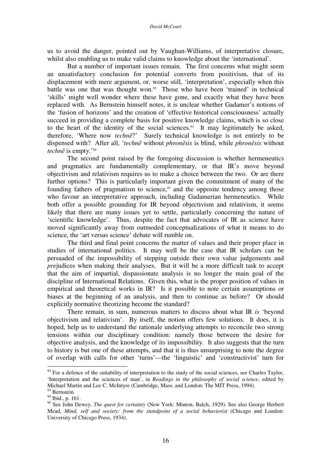us to avoid the danger, pointed out by Vaughan-Williams, of interpretative closure, whilst also enabling us to make valid claims to knowledge about the 'international'.

But a number of important issues remain. The first concerns what might seem an unsatisfactory conclusion for potential converts from positivism, that of its displacement with mere argument, or, worse still, 'interpretation', especially when this battle was one that was thought won.<sup>92</sup> Those who have been 'trained' in technical 'skills' might well wonder where these have gone, and exactly what they have been replaced with. As Bernstein himself notes, it is unclear whether Gadamer's notions of the 'fusion of horizons' and the creation of 'effective historical consciousness' actually succeed in providing a complete basis for positive knowledge claims, which is so close to the heart of the identity of the social sciences. 93 It may legitimately be asked, therefore, 'Where now *techne*?' Surely technical knowledge is not entirely to be dispensed with? After all, '*techne* without *phronesis* is blind, while *phronesis* without techne is empty.'<sup>94</sup>

The second point raised by the foregoing discussion is whether hermeneutics and pragmatics are fundamentally complementary, or that IR's move beyond objectivism and relativism requires us to make a choice between the two. Or are there further options? This is particularly important given the commitment of many of the founding fathers of pragmatism to science, <sup>95</sup> and the opposite tendency among those who favour an interpretative approach, including Gadamerian hermeneutics. While both offer a possible grounding for IR beyond objectivism and relativism, it seems likely that there are many issues yet to settle, particularly concerning the nature of 'scientific knowledge'. Thus, despite the fact that advocates of IR as science have moved significantly away from outmoded conceptualizations of what it means to do science, the 'art versus science' debate will rumble on.

The third and final point concerns the matter of values and their proper place in studies of international politics. It may well be the case that IR scholars can be persuaded of the impossibility of stepping outside their own value judgements and *pre*judices when making their analyses. But it will be a more difficult task to accept that the aim of impartial, dispassionate analysis is no longer the main goal of the discipline of International Relations. Given this, what is the proper position of values in empirical and theoretical works in IR? Is it possible to note certain assumptions or biases at the beginning of an analysis, and then to continue as before? Or should explicitly normative theorizing become the standard?

There remain, in sum, numerous matters to discuss about what IR *is* 'beyond objectivism and relativism'. By itself, the notion offers few solutions. It does, it is hoped, help us to understand the rationale underlying attempts to reconcile two strong tensions within our disciplinary condition: namely those between the desire for objective analysis, and the knowledge of its impossibility. It also suggests that the turn to history is but one of these attempts, and that it is thus unsurprising to note the degree of overlap with calls for other 'turns'—the 'linguistic' and 'constructivist' turn for

 $92$  For a defence of the suitability of interpretation to the study of the social sciences, see Charles Taylor, 'Interpretation and the sciences of man', in *Readings in the philosophy of social science*, edited by Michael Martin and Lee C. McIntyre (Cambridge, Mass. and London: The MIT Press, 1994).

<sup>&</sup>lt;sup>93</sup> Bernstein.

<sup>&</sup>lt;sup>94</sup> Ibid., p. 161.

<sup>95</sup> See John Dewey, *The quest for certainty* (New York: Minton, Balch, 1929). See also George Herbert Mead, *Mind, self and society: from the standpoint of a social behaviorist* (Chicago and London: University of Chicago Press, 1934).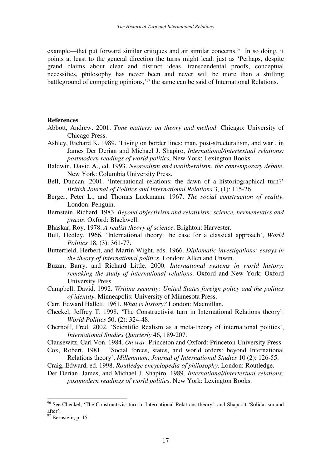example—that put forward similar critiques and air similar concerns.<sup>96</sup> In so doing, it points at least to the general direction the turns might lead: just as 'Perhaps, despite grand claims about clear and distinct ideas, transcendental proofs, conceptual necessities, philosophy has never been and never will be more than a shifting battleground of competing opinions,' 97 the same can be said of International Relations.

#### **References**

- Abbott, Andrew. 2001. *Time matters: on theory and method*. Chicago: University of Chicago Press.
- Ashley, Richard K. 1989. 'Living on border lines: man, post-structuralism, and war', in James Der Derian and Michael J. Shapiro, *International/intertextual relations: postmodern readings of world politics*. New York: Lexington Books.
- Baldwin, David A., ed. 1993. *Neorealism and neoliberalism: the contemporary debate*. New York: Columbia University Press.
- Bell, Duncan. 2001. 'International relations: the dawn of a historiographical turn?' *British Journal of Politics and International Relations* 3, (1): 115-26.
- Berger, Peter L., and Thomas Luckmann. 1967. *The social construction of reality*. London: Penguin.
- Bernstein, Richard. 1983. *Beyond objectivism and relativism: science, hermeneutics and praxis*. Oxford: Blackwell.
- Bhaskar, Roy. 1978. *A realist theory of science*. Brighton: Harvester.
- Bull, Hedley. 1966. 'International theory: the case for a classical approach', *World Politics* 18, (3): 361-77.
- Butterfield, Herbert, and Martin Wight, eds. 1966. *Diplomatic investigations: essays in the theory of international politics*. London: Allen and Unwin.
- Buzan, Barry, and Richard Little. 2000. *International systems in world history: remaking the study of international relations*. Oxford and New York: Oxford University Press.
- Campbell, David. 1992. *Writing security: United States foreign policy and the politics of identity*. Minneapolis: University of Minnesota Press.
- Carr, Edward Hallett. 1961. *What is history?* London: Macmillan.
- Checkel, Jeffrey T. 1998. 'The Constructivist turn in International Relations theory'. *World Politics* 50, (2): 324-48.
- Chernoff, Fred. 2002. 'Scientific Realism as a meta-theory of international politics', *International Studies Quarterly* 46, 189-207.
- Clausewitz, Carl Von. 1984. *On war*. Princeton and Oxford: Princeton University Press.
- Cox, Robert. 1981. 'Social forces, states, and world orders: beyond International Relations theory'. *Millennium: Journal of International Studies* 10 (2): 126-55.
- Craig, Edward, ed. 1998. *Routledge encyclopedia of philosophy*. London: Routledge.
- Der Derian, James, and Michael J. Shapiro. 1989. *International/intertextual relations: postmodern readings of world politics*. New York: Lexington Books.

<sup>&</sup>lt;sup>96</sup> See Checkel, 'The Constructivist turn in International Relations theory', and Shapcott 'Solidarism and after'.

 $97$  Bernstein, p. 15.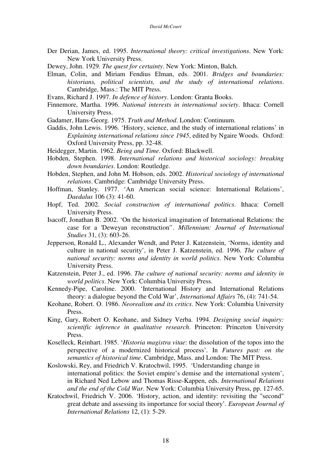- Der Derian, James, ed. 1995. *International theory: critical investigations*. New York: New York University Press.
- Dewey, John. 1929. *The quest for certainty*. New York: Minton, Balch.
- Elman, Colin, and Miriam Fendius Elman, eds. 2001. *Bridges and boundaries: historians, political scientists, and the study of international relations*. Cambridge, Mass.: The MIT Press.
- Evans, Richard J. 1997. *In defence of history*. London: Granta Books.
- Finnemore, Martha. 1996. *National interests in international society*. Ithaca: Cornell University Press.
- Gadamer, Hans-Georg. 1975. *Truth and Method*. London: Continuum.
- Gaddis, John Lewis. 1996. 'History, science, and the study of international relations' in *Explaining international relations since 1945*, edited by Ngaire Woods. Oxford: Oxford University Press, pp. 32-48.
- Heidegger, Martin. 1962. *Being and Time*. Oxford: Blackwell.
- Hobden, Stephen. 1998. *International relations and historical sociology: breaking down boundaries*. London: Routledge.
- Hobden, Stephen, and John M. Hobson, eds. 2002. *Historical sociology of international relations*. Cambridge: Cambridge University Press.
- Hoffman, Stanley. 1977. 'An American social science: International Relations', *Daedalus* 106 (3): 41-60.
- Hopf, Ted. 2002. *Social construction of international politics*. Ithaca: Cornell University Press.
- Isacoff, Jonathan B. 2002. 'On the historical imagination of International Relations: the case for a 'Deweyan reconstruction''. *Millennium: Journal of International Studies* 31, (3): 603-26.
- Jepperson, Ronald L., Alexander Wendt, and Peter J. Katzenstein, 'Norms, identity and culture in national security', in Peter J. Katzenstein, ed. 1996. *The culture of national security: norms and identity in world politics*. New York: Columbia University Press.
- Katzenstein, Peter J., ed. 1996. *The culture of national security: norms and identity in world politics*. New York: Columbia University Press.
- Kennedy-Pipe, Caroline. 2000. 'International History and International Relations theory: a dialogue beyond the Cold War', *International Affairs* 76, (4): 741-54.
- Keohane, Robert. O. 1986. *Neorealism and its critics*. New York: Columbia University Press.
- King, Gary, Robert O. Keohane, and Sidney Verba. 1994. *Designing social inquiry: scientific inference in qualitative research*. Princeton: Princeton University Press.
- Koselleck, Reinhart. 1985. '*Historia magistra vitae*: the dissolution of the topos into the perspective of a modernized historical process'. In *Futures past: on the semantics of historical time*. Cambridge, Mass. and London: The MIT Press.
- Koslowski, Rey, and Friedrich V. Kratochwil, 1995. 'Understanding change in international politics: the Soviet empire's demise and the international system', in Richard Ned Lebow and Thomas Risse-Kappen, eds. *International Relations and the end of the Cold War*. New York: Columbia University Press, pp. 127-65.
- Kratochwil, Friedrich V. 2006. 'History, action, and identity: revisiting the "second" great debate and assessing its importance for social theory'. *European Journal of International Relations* 12, (1): 5-29.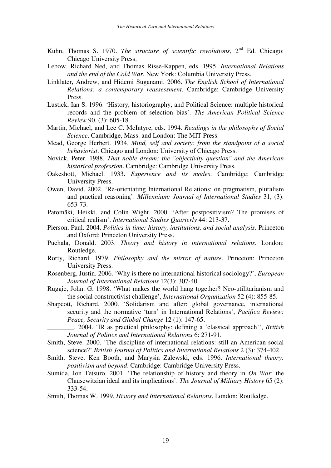- Kuhn, Thomas S. 1970. *The structure of scientific revolutions*, 2<sup>nd</sup> Ed. Chicago: Chicago University Press.
- Lebow, Richard Ned, and Thomas Risse-Kappen, eds. 1995. *International Relations and the end of the Cold War*. New York: Columbia University Press.
- Linklater, Andrew, and Hidemi Suganami. 2006. *The English School of International Relations: a contemporary reassessment*. Cambridge: Cambridge University Press.
- Lustick, Ian S. 1996. 'History, historiography, and Political Science: multiple historical records and the problem of selection bias'. *The American Political Science Review* 90, (3): 605-18.
- Martin, Michael, and Lee C. McIntyre, eds. 1994. *Readings in the philosophy of Social Science*. Cambridge, Mass. and London: The MIT Press.
- Mead, George Herbert. 1934. *Mind, self and society: from the standpoint of a social behaviorist*. Chicago and London: University of Chicago Press.
- Novick, Peter. 1988. *That noble dream: the "objectivity question" and the American historical profession*. Cambridge: Cambridge University Press.
- Oakeshott, Michael. 1933. *Experience and its modes*. Cambridge: Cambridge University Press.
- Owen, David. 2002. 'Re-orientating International Relations: on pragmatism, pluralism and practical reasoning'. *Millennium: Journal of International Studies* 31, (3): 653-73.
- Patomäki, Heikki, and Colin Wight. 2000. 'After postpositivism? The promises of critical realism'. *International Studies Quarterly* 44: 213-37.
- Pierson, Paul. 2004. *Politics in time: history, institutions, and social analysis*. Princeton and Oxford: Princeton University Press.
- Puchala, Donald. 2003. *Theory and history in international relations*. London: Routledge.
- Rorty, Richard. 1979. *Philosophy and the mirror of nature*. Princeton: Princeton University Press.
- Rosenberg, Justin. 2006. 'Why is there no international historical sociology?', *European Journal of International Relations* 12(3): 307-40.
- Ruggie, John. G. 1998. 'What makes the world hang together? Neo-utilitarianism and the social constructivist challenge', *International Organization* 52 (4): 855-85.
- Shapcott, Richard. 2000. 'Solidarism and after: global governance, international security and the normative 'turn' in International Relations', *Pacifica Review: Peace, Security and Global Change* 12 (1): 147-65.

\_\_\_\_\_\_\_\_. 2004. 'IR as practical philosophy: defining a 'classical approach'', *British Journal of Politics and International Relations* 6: 271-91.

- Smith, Steve. 2000. 'The discipline of international relations: still an American social science?' *British Journal of Politics and International Relations* 2 (3): 374-402.
- Smith, Steve, Ken Booth, and Marysia Zalewski, eds. 1996. *International theory: positivism and beyond*. Cambridge: Cambridge University Press.
- Sumida, Jon Tetsuro. 2001. 'The relationship of history and theory in *On War*: the Clausewitzian ideal and its implications'. *The Journal of Military History* 65 (2): 333-54.
- Smith, Thomas W. 1999. *History and International Relations*. London: Routledge.